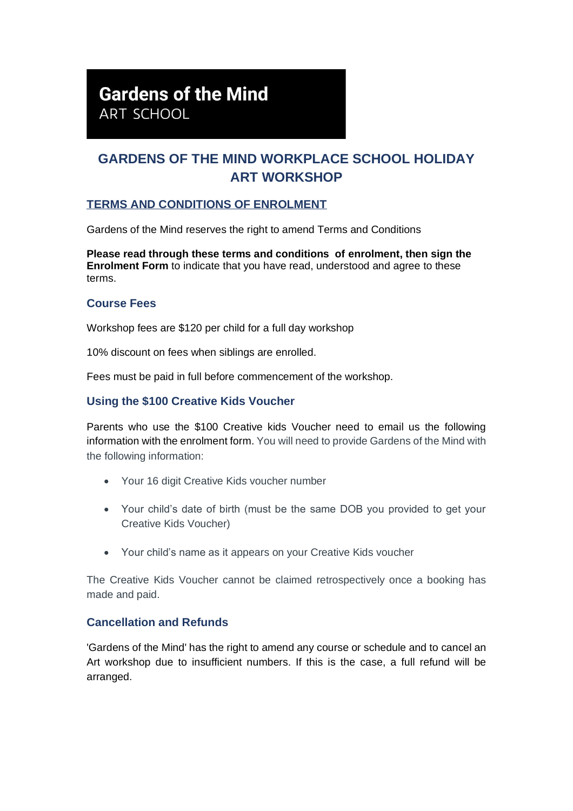# **Gardens of the Mind**

ART SCHOOL

# **GARDENS OF THE MIND WORKPLACE SCHOOL HOLIDAY ART WORKSHOP**

# **TERMS AND CONDITIONS OF ENROLMENT**

Gardens of the Mind reserves the right to amend Terms and Conditions

**Please read through these terms and conditions of enrolment, then sign the Enrolment Form** to indicate that you have read, understood and agree to these terms.

#### **Course Fees**

Workshop fees are \$120 per child for a full day workshop

10% discount on fees when siblings are enrolled.

Fees must be paid in full before commencement of the workshop.

#### **Using the \$100 Creative Kids Voucher**

Parents who use the \$100 Creative kids Voucher need to email us the following information with the enrolment form. You will need to provide Gardens of the Mind with the following information:

- Your 16 digit Creative Kids voucher number
- Your child's date of birth (must be the same DOB you provided to get your Creative Kids Voucher)
- Your child's name as it appears on your Creative Kids voucher

The Creative Kids Voucher cannot be claimed retrospectively once a booking has made and paid.

#### **Cancellation and Refunds**

'Gardens of the Mind' has the right to amend any course or schedule and to cancel an Art workshop due to insufficient numbers. If this is the case, a full refund will be arranged.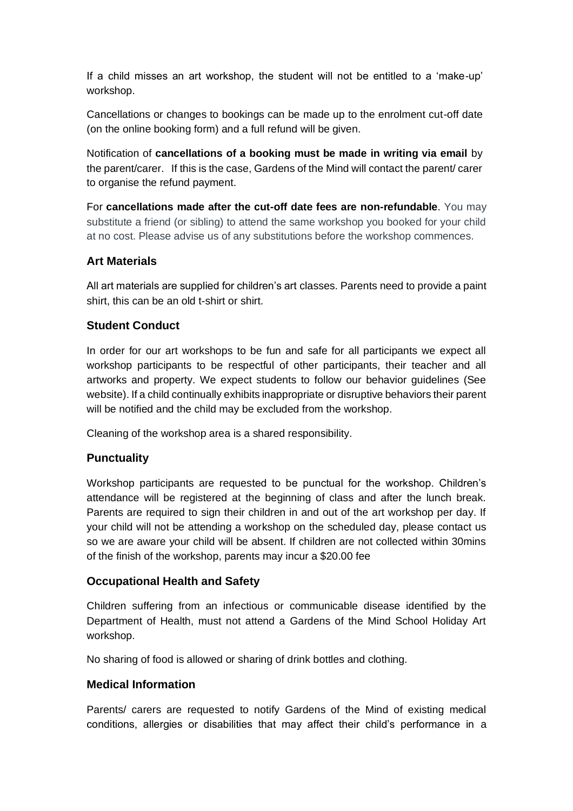If a child misses an art workshop, the student will not be entitled to a 'make-up' workshop.

Cancellations or changes to bookings can be made up to the enrolment cut-off date (on the online booking form) and a full refund will be given.

Notification of **cancellations of a booking must be made in writing via email** by the parent/carer. If this is the case, Gardens of the Mind will contact the parent/ carer to organise the refund payment.

For **cancellations made after the cut-off date fees are non-refundable**. You may substitute a friend (or sibling) to attend the same workshop you booked for your child at no cost. Please advise us of any substitutions before the workshop commences.

# **Art Materials**

All art materials are supplied for children's art classes. Parents need to provide a paint shirt, this can be an old t-shirt or shirt.

#### **Student Conduct**

In order for our art workshops to be fun and safe for all participants we expect all workshop participants to be respectful of other participants, their teacher and all artworks and property. We expect students to follow our behavior guidelines (See website). If a child continually exhibits inappropriate or disruptive behaviors their parent will be notified and the child may be excluded from the workshop.

Cleaning of the workshop area is a shared responsibility.

# **Punctuality**

Workshop participants are requested to be punctual for the workshop. Children's attendance will be registered at the beginning of class and after the lunch break. Parents are required to sign their children in and out of the art workshop per day. If your child will not be attending a workshop on the scheduled day, please contact us so we are aware your child will be absent. If children are not collected within 30mins of the finish of the workshop, parents may incur a \$20.00 fee

#### **Occupational Health and Safety**

Children suffering from an infectious or communicable disease identified by the Department of Health, must not attend a Gardens of the Mind School Holiday Art workshop.

No sharing of food is allowed or sharing of drink bottles and clothing.

#### **Medical Information**

Parents/ carers are requested to notify Gardens of the Mind of existing medical conditions, allergies or disabilities that may affect their child's performance in a